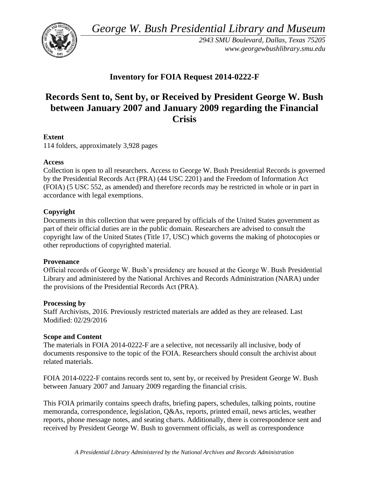*George W. Bush Presidential Library and Museum* 



*2943 SMU Boulevard, Dallas, Texas 75205 <www.georgewbushlibrary.smu.edu>* 

# **Inventory for FOIA Request 2014-0222-F**

# **Records Sent to, Sent by, or Received by President George W. Bush between January 2007 and January 2009 regarding the Financial Crisis**

## **Extent**

114 folders, approximately 3,928 pages

## **Access**

Collection is open to all researchers. Access to George W. Bush Presidential Records is governed by the Presidential Records Act (PRA) (44 USC 2201) and the Freedom of Information Act (FOIA) (5 USC 552, as amended) and therefore records may be restricted in whole or in part in accordance with legal exemptions.

## **Copyright**

 Documents in this collection that were prepared by officials of the United States government as part of their official duties are in the public domain. Researchers are advised to consult the copyright law of the United States (Title 17, USC) which governs the making of photocopies or other reproductions of copyrighted material.

## **Provenance**

Official records of George W. Bush's presidency are housed at the George W. Bush Presidential Library and administered by the National Archives and Records Administration (NARA) under the provisions of the Presidential Records Act (PRA).

## **Processing by**

Staff Archivists, 2016. Previously restricted materials are added as they are released. Last Modified: 02/29/2016

## **Scope and Content**

 documents responsive to the topic of the FOIA. Researchers should consult the archivist about The materials in FOIA 2014-0222-F are a selective, not necessarily all inclusive, body of related materials.

FOIA 2014-0222-F contains records sent to, sent by, or received by President George W. Bush between January 2007 and January 2009 regarding the financial crisis.

 received by President George W. Bush to government officials, as well as correspondence This FOIA primarily contains speech drafts, briefing papers, schedules, talking points, routine memoranda, correspondence, legislation, Q&As, reports, printed email, news articles, weather reports, phone message notes, and seating charts. Additionally, there is correspondence sent and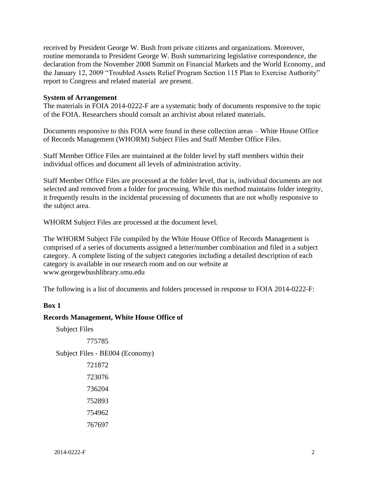received by President George W. Bush from private citizens and organizations. Moreover, report to Congress and related material are present. routine memoranda to President George W. Bush summarizing legislative correspondence, the declaration from the November 2008 Summit on Financial Markets and the World Economy, and the January 12, 2009 "Troubled Assets Relief Program Section 115 Plan to Exercise Authority"

#### **System of Arrangement**

 The materials in FOIA 2014-0222-F are a systematic body of documents responsive to the topic of the FOIA. Researchers should consult an archivist about related materials.

Documents responsive to this FOIA were found in these collection areas – White House Office of Records Management (WHORM) Subject Files and Staff Member Office Files.

 Staff Member Office Files are maintained at the folder level by staff members within their individual offices and document all levels of administration activity.

Staff Member Office Files are processed at the folder level, that is, individual documents are not selected and removed from a folder for processing. While this method maintains folder integrity, it frequently results in the incidental processing of documents that are not wholly responsive to the subject area.

WHORM Subject Files are processed at the document level.

 The WHORM Subject File compiled by the White House Office of Records Management is comprised of a series of documents assigned a letter/number combination and filed in a subject category. A complete listing of the subject categories including a detailed description of each category is available in our research room and on our website at <www.georgewbushlibrary.smu.edu>

The following is a list of documents and folders processed in response to FOIA 2014-0222-F:

#### **Box 1**

#### **Records Management, White House Office of**

Subject Files

775785

Subject Files - BE004 (Economy)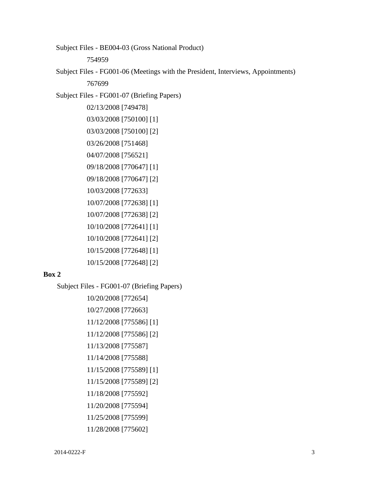Subject Files - BE004-03 (Gross National Product)

754959

 Subject Files - FG001-06 (Meetings with the President, Interviews, Appointments) 767699

Subject Files - FG001-07 (Briefing Papers)

02/13/2008 [749478] 03/03/2008 [750100] [1] 03/03/2008 [750100] [2] 03/26/2008 [751468] 04/07/2008 [756521] 09/18/2008 [770647] [1] 09/18/2008 [770647] [2] 10/03/2008 [772633] 10/07/2008 [772638] [1] 10/07/2008 [772638] [2] 10/10/2008 [772641] [1] 10/10/2008 [772641] [2] 10/15/2008 [772648] [1]

#### **Box 2**

Subject Files - FG001-07 (Briefing Papers)

10/15/2008 [772648] [2]

10/20/2008 [772654] 10/27/2008 [772663] 11/12/2008 [775586] [1] 11/12/2008 [775586] [2] 11/13/2008 [775587] 11/14/2008 [775588] 11/15/2008 [775589] [1] 11/15/2008 [775589] [2] 11/18/2008 [775592] 11/20/2008 [775594] 11/25/2008 [775599] 11/28/2008 [775602]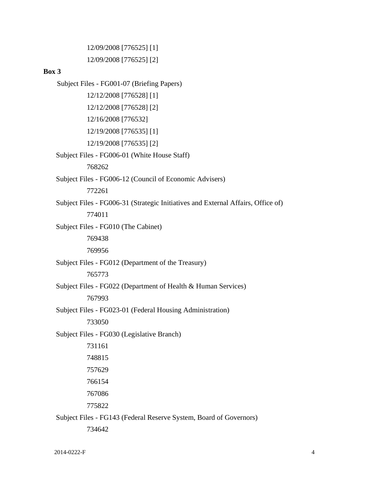12/09/2008 [776525] [1] 12/09/2008 [776525] [2]

#### **Box 3**

 Subject Files - FG001-07 (Briefing Papers) Subject Files - FG006-01 (White House Staff) Subject Files - FG006-12 (Council of Economic Advisers) Subject Files - FG006-31 (Strategic Initiatives and External Affairs, Office of) Subject Files - FG010 (The Cabinet) Subject Files - FG012 (Department of the Treasury) Subject Files - FG022 (Department of Health & Human Services) Subject Files - FG023-01 (Federal Housing Administration) Subject Files - FG030 (Legislative Branch) Subject Files - FG143 (Federal Reserve System, Board of Governors) 12/12/2008 [776528] [1] 12/12/2008 [776528] [2] 12/16/2008 [776532] 12/19/2008 [776535] [1] 12/19/2008 [776535] [2] 768262 772261 774011 769438 769956 765773 767993 733050 731161 748815 757629 766154 767086 775822 734642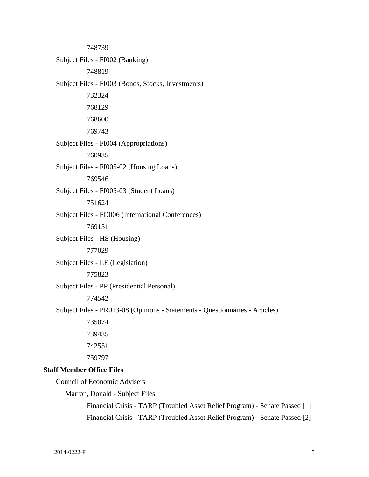Subject Files - FI002 (Banking) Subject Files - FI003 (Bonds, Stocks, Investments) Subject Files - FI004 (Appropriations) Subject Files - FI005-02 (Housing Loans) Subject Files - FI005-03 (Student Loans) Subject Files - FO006 (International Conferences) Subject Files - HS (Housing) Subject Files - LE (Legislation) Subject Files - PP (Presidential Personal) Subject Files - PR013-08 (Opinions - Statements - Questionnaires - Articles) 748739 748819 732324 768129 768600 769743 760935 769546 751624 769151 777029 775823 774542 735074 739435 742551 759797 **Staff Member Office Files**  Council of Economic Advisers Marron, Donald - Subject Files

Financial Crisis - TARP (Troubled Asset Relief Program) - Senate Passed [1] Financial Crisis - TARP (Troubled Asset Relief Program) - Senate Passed [2]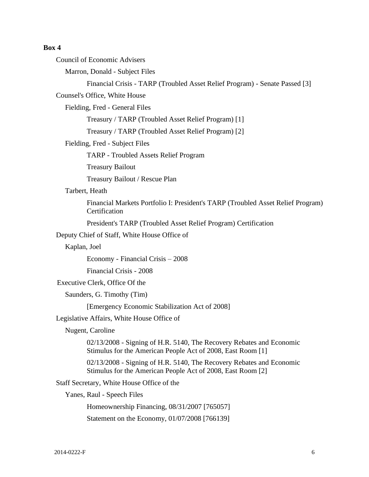## **Box 4**

| <b>Council of Economic Advisers</b>                                                                                                 |
|-------------------------------------------------------------------------------------------------------------------------------------|
| Marron, Donald - Subject Files                                                                                                      |
| Financial Crisis - TARP (Troubled Asset Relief Program) - Senate Passed [3]                                                         |
| Counsel's Office, White House                                                                                                       |
| Fielding, Fred - General Files                                                                                                      |
| Treasury / TARP (Troubled Asset Relief Program) [1]                                                                                 |
| Treasury / TARP (Troubled Asset Relief Program) [2]                                                                                 |
| Fielding, Fred - Subject Files                                                                                                      |
| <b>TARP</b> - Troubled Assets Relief Program                                                                                        |
| <b>Treasury Bailout</b>                                                                                                             |
| Treasury Bailout / Rescue Plan                                                                                                      |
| Tarbert, Heath                                                                                                                      |
| Financial Markets Portfolio I: President's TARP (Troubled Asset Relief Program)<br>Certification                                    |
| President's TARP (Troubled Asset Relief Program) Certification                                                                      |
| Deputy Chief of Staff, White House Office of                                                                                        |
| Kaplan, Joel                                                                                                                        |
| Economy - Financial Crisis – 2008                                                                                                   |
| Financial Crisis - 2008                                                                                                             |
| Executive Clerk, Office Of the                                                                                                      |
| Saunders, G. Timothy (Tim)                                                                                                          |
| [Emergency Economic Stabilization Act of 2008]                                                                                      |
| Legislative Affairs, White House Office of                                                                                          |
| Nugent, Caroline                                                                                                                    |
| 02/13/2008 - Signing of H.R. 5140, The Recovery Rebates and Economic<br>Stimulus for the American People Act of 2008, East Room [1] |
| 02/13/2008 - Signing of H.R. 5140, The Recovery Rebates and Economic<br>Stimulus for the American People Act of 2008, East Room [2] |
| Staff Secretary, White House Office of the                                                                                          |
| Yanes, Raul - Speech Files                                                                                                          |
| Homeownership Financing, 08/31/2007 [765057]                                                                                        |
| Statement on the Economy, 01/07/2008 [766139]                                                                                       |